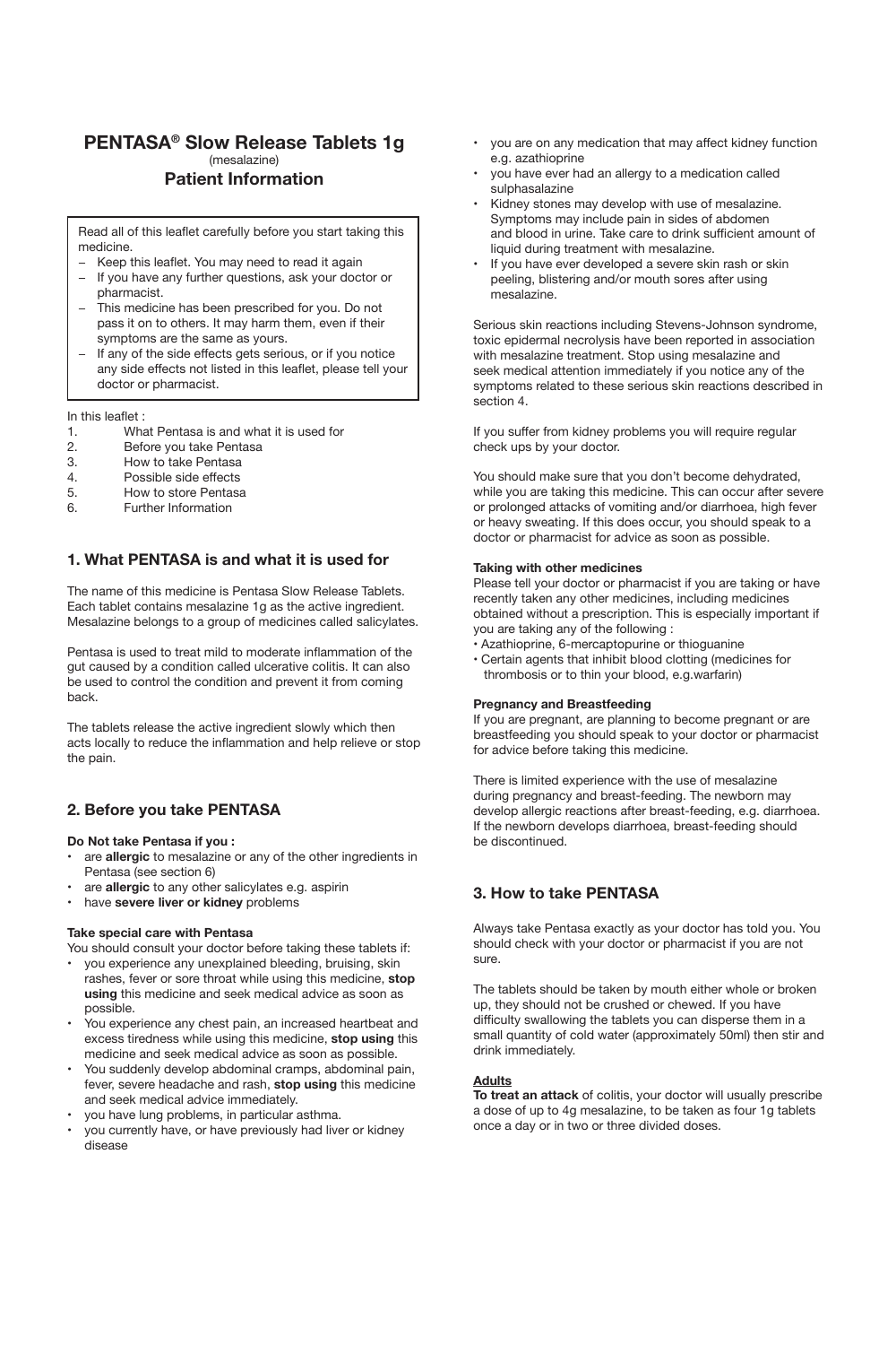# **PENTASA® Slow Release Tablets 1g** (mesalazine) **Patient Information**

Read all of this leaflet carefully before you start taking this medicine.

- Keep this leaflet. You may need to read it again
- If you have any further questions, ask your doctor or pharmacist.
- This medicine has been prescribed for you. Do not pass it on to others. It may harm them, even if their symptoms are the same as yours.
- If any of the side effects gets serious, or if you notice any side effects not listed in this leaflet, please tell your doctor or pharmacist.

In this leaflet :

- 1. What Pentasa is and what it is used for<br>2. Before you take Pentasa
- 2. Before you take Pentasa<br>3. How to take Pentasa
- 3. How to take Pentasa<br>4. Possible side effects
- 4. Possible side effects<br>5. How to store Pentasa
- 5. How to store Pentasa<br>6 Further Information
- Further Information

# **1. What PENTASA is and what it is used for**

The name of this medicine is Pentasa Slow Release Tablets. Each tablet contains mesalazine 1g as the active ingredient. Mesalazine belongs to a group of medicines called salicylates.

Pentasa is used to treat mild to moderate inflammation of the gut caused by a condition called ulcerative colitis. It can also be used to control the condition and prevent it from coming back.

The tablets release the active ingredient slowly which then acts locally to reduce the inflammation and help relieve or stop the pain.

# **2. Before you take PENTASA**

## **Do Not take Pentasa if you :**

- are **allergic** to mesalazine or any of the other ingredients in Pentasa (see section 6)
- are **allergic** to any other salicylates e.g. aspirin
- have **severe liver or kidney** problems

## **Take special care with Pentasa**

You should consult your doctor before taking these tablets if:

- you experience any unexplained bleeding, bruising, skin rashes, fever or sore throat while using this medicine, **stop using** this medicine and seek medical advice as soon as possible.
- You experience any chest pain, an increased heartbeat and excess tiredness while using this medicine, **stop using** this medicine and seek medical advice as soon as possible.
- You suddenly develop abdominal cramps, abdominal pain, fever, severe headache and rash, **stop using** this medicine and seek medical advice immediately.
- you have lung problems, in particular asthma.
- you currently have, or have previously had liver or kidney disease
- you are on any medication that may affect kidney function e.g. azathioprine
- you have ever had an allergy to a medication called sulphasalazine
- Kidney stones may develop with use of mesalazine. Symptoms may include pain in sides of abdomen and blood in urine. Take care to drink sufficient amount of liquid during treatment with mesalazine.
- If you have ever developed a severe skin rash or skin peeling, blistering and/or mouth sores after using mesalazine.

Serious skin reactions including Stevens-Johnson syndrome, toxic epidermal necrolysis have been reported in association with mesalazine treatment. Stop using mesalazine and seek medical attention immediately if you notice any of the symptoms related to these serious skin reactions described in section 4.

If you suffer from kidney problems you will require regular check ups by your doctor.

You should make sure that you don't become dehydrated, while you are taking this medicine. This can occur after severe or prolonged attacks of vomiting and/or diarrhoea, high fever or heavy sweating. If this does occur, you should speak to a doctor or pharmacist for advice as soon as possible.

### **Taking with other medicines**

Please tell your doctor or pharmacist if you are taking or have recently taken any other medicines, including medicines obtained without a prescription. This is especially important if you are taking any of the following :

- Azathioprine, 6-mercaptopurine or thioguanine
- Certain agents that inhibit blood clotting (medicines for thrombosis or to thin your blood, e.g.warfarin)

# **Pregnancy and Breastfeeding**

If you are pregnant, are planning to become pregnant or are breastfeeding you should speak to your doctor or pharmacist for advice before taking this medicine.

There is limited experience with the use of mesalazine during pregnancy and breast-feeding. The newborn may develop allergic reactions after breast-feeding, e.g. diarrhoea. If the newborn develops diarrhoea, breast-feeding should be discontinued.

# **3. How to take PENTASA**

Always take Pentasa exactly as your doctor has told you. You should check with your doctor or pharmacist if you are not sure.

The tablets should be taken by mouth either whole or broken up, they should not be crushed or chewed. If you have difficulty swallowing the tablets you can disperse them in a small quantity of cold water (approximately 50ml) then stir and drink immediately.

## **Adults**

**To treat an attack** of colitis, your doctor will usually prescribe a dose of up to 4g mesalazine, to be taken as four 1g tablets once a day or in two or three divided doses.